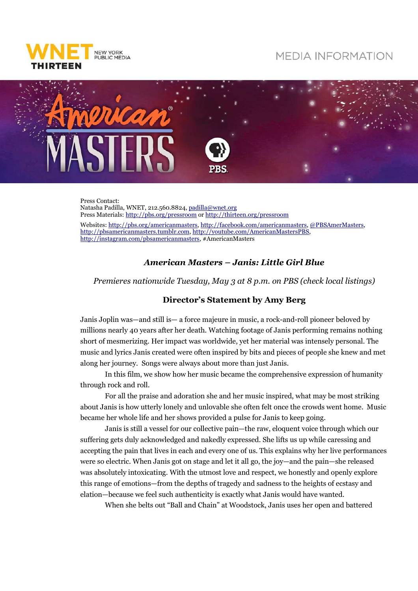

## **MEDIA INFORMATION**



Press Contact: Natasha Padilla, WNET, 212.560.8824, padilla@wnet.org Press Materials: http://pbs.org/pressroom or http://thirteen.org/pressroom Websites: http://pbs.org/americanmasters, http://facebook.com/americanmasters, @PBSAmerMasters, http://pbsamericanmasters.tumblr.com, http://youtube.com/AmericanMastersPBS,

http://instagram.com/pbsamericanmasters, #AmericanMasters

## *American Masters – Janis: Little Girl Blue*

*Premieres nationwide Tuesday, May 3 at 8 p.m. on PBS (check local listings)* 

## **Director's Statement by Amy Berg**

Janis Joplin was—and still is— a force majeure in music, a rock-and-roll pioneer beloved by millions nearly 40 years after her death. Watching footage of Janis performing remains nothing short of mesmerizing. Her impact was worldwide, yet her material was intensely personal. The music and lyrics Janis created were often inspired by bits and pieces of people she knew and met along her journey. Songs were always about more than just Janis.

In this film, we show how her music became the comprehensive expression of humanity through rock and roll.

For all the praise and adoration she and her music inspired, what may be most striking about Janis is how utterly lonely and unlovable she often felt once the crowds went home. Music became her whole life and her shows provided a pulse for Janis to keep going.

Janis is still a vessel for our collective pain—the raw, eloquent voice through which our suffering gets duly acknowledged and nakedly expressed. She lifts us up while caressing and accepting the pain that lives in each and every one of us. This explains why her live performances were so electric. When Janis got on stage and let it all go, the joy—and the pain—she released was absolutely intoxicating. With the utmost love and respect, we honestly and openly explore this range of emotions—from the depths of tragedy and sadness to the heights of ecstasy and elation—because we feel such authenticity is exactly what Janis would have wanted.

When she belts out "Ball and Chain" at Woodstock, Janis uses her open and battered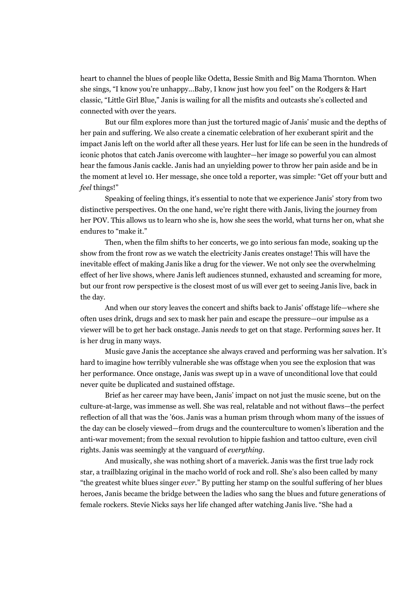heart to channel the blues of people like Odetta, Bessie Smith and Big Mama Thornton. When she sings, "I know you're unhappy...Baby, I know just how you feel" on the Rodgers & Hart classic, "Little Girl Blue," Janis is wailing for all the misfits and outcasts she's collected and connected with over the years.

But our film explores more than just the tortured magic of Janis' music and the depths of her pain and suffering. We also create a cinematic celebration of her exuberant spirit and the impact Janis left on the world after all these years. Her lust for life can be seen in the hundreds of iconic photos that catch Janis overcome with laughter—her image so powerful you can almost hear the famous Janis cackle. Janis had an unyielding power to throw her pain aside and be in the moment at level 10. Her message, she once told a reporter, was simple: "Get off your butt and *feel* things!"

Speaking of feeling things, it's essential to note that we experience Janis' story from two distinctive perspectives. On the one hand, we're right there with Janis, living the journey from her POV. This allows us to learn who she is, how she sees the world, what turns her on, what she endures to "make it."

Then, when the film shifts to her concerts, we go into serious fan mode, soaking up the show from the front row as we watch the electricity Janis creates onstage! This will have the inevitable effect of making Janis like a drug for the viewer. We not only see the overwhelming effect of her live shows, where Janis left audiences stunned, exhausted and screaming for more, but our front row perspective is the closest most of us will ever get to seeing Janis live, back in the day.

And when our story leaves the concert and shifts back to Janis' offstage life—where she often uses drink, drugs and sex to mask her pain and escape the pressure—our impulse as a viewer will be to get her back onstage. Janis *needs* to get on that stage. Performing *saves* her. It is her drug in many ways.

Music gave Janis the acceptance she always craved and performing was her salvation. It's hard to imagine how terribly vulnerable she was offstage when you see the explosion that was her performance. Once onstage, Janis was swept up in a wave of unconditional love that could never quite be duplicated and sustained offstage.

Brief as her career may have been, Janis' impact on not just the music scene, but on the culture-at-large, was immense as well. She was real, relatable and not without flaws—the perfect reflection of all that was the '60s. Janis was a human prism through whom many of the issues of the day can be closely viewed—from drugs and the counterculture to women's liberation and the anti-war movement; from the sexual revolution to hippie fashion and tattoo culture, even civil rights. Janis was seemingly at the vanguard of *everything*.

And musically, she was nothing short of a maverick. Janis was the first true lady rock star, a trailblazing original in the macho world of rock and roll. She's also been called by many "the greatest white blues singer *ever.*" By putting her stamp on the soulful suffering of her blues heroes, Janis became the bridge between the ladies who sang the blues and future generations of female rockers. Stevie Nicks says her life changed after watching Janis live. "She had a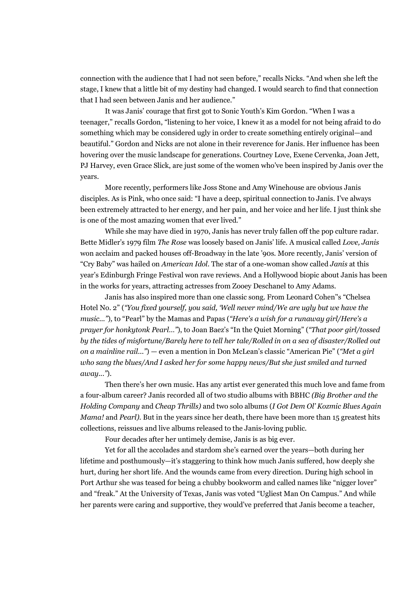connection with the audience that I had not seen before," recalls Nicks. "And when she left the stage, I knew that a little bit of my destiny had changed. I would search to find that connection that I had seen between Janis and her audience."

It was Janis' courage that first got to Sonic Youth's Kim Gordon. "When I was a teenager," recalls Gordon, "listening to her voice, I knew it as a model for not being afraid to do something which may be considered ugly in order to create something entirely original—and beautiful." Gordon and Nicks are not alone in their reverence for Janis. Her influence has been hovering over the music landscape for generations. Courtney Love, Exene Cervenka, Joan Jett, PJ Harvey, even Grace Slick, are just some of the women who've been inspired by Janis over the years.

More recently, performers like Joss Stone and Amy Winehouse are obvious Janis disciples. As is Pink, who once said: "I have a deep, spiritual connection to Janis. I've always been extremely attracted to her energy, and her pain, and her voice and her life. I just think she is one of the most amazing women that ever lived."

While she may have died in 1970, Janis has never truly fallen off the pop culture radar. Bette Midler's 1979 film *The Rose* was loosely based on Janis' life. A musical called *Love, Janis*  won acclaim and packed houses off-Broadway in the late '90s. More recently, Janis' version of "Cry Baby" was hailed on *American Idol.* The star of a one-woman show called *Janis* at this year's Edinburgh Fringe Festival won rave reviews. And a Hollywood biopic about Janis has been in the works for years, attracting actresses from Zooey Deschanel to Amy Adams.

Janis has also inspired more than one classic song. From Leonard Cohen''s "Chelsea Hotel No. 2" (*"You fixed yourself, you said, 'Well never mind/We are ugly but we have the music..."*)*,* to "Pearl" by the Mamas and Papas (*"Here's a wish for a runaway girl/Here's a prayer for honkytonk Pearl…"*), to Joan Baez's "In the Quiet Morning" (*"That poor girl/tossed by the tides of misfortune/Barely here to tell her tale/Rolled in on a sea of disaster/Rolled out on a mainline rail..."*) — even a mention in Don McLean's classic "American Pie" (*"Met a girl who sang the blues/And I asked her for some happy news/But she just smiled and turned away..."*)*.*

Then there's her own music. Has any artist ever generated this much love and fame from a four-album career? Janis recorded all of two studio albums with BBHC *(Big Brother and the Holding Company* and *Cheap Thrills)* and two solo albums (*I Got Dem Ol' Kozmic Blues Again Mama!* and *Pearl).* But in the years since her death, there have been more than 15 greatest hits collections, reissues and live albums released to the Janis-loving public.

Four decades after her untimely demise, Janis is as big ever.

Yet for all the accolades and stardom she's earned over the years—both during her lifetime and posthumously—it's staggering to think how much Janis suffered, how deeply she hurt, during her short life. And the wounds came from every direction. During high school in Port Arthur she was teased for being a chubby bookworm and called names like "nigger lover" and "freak." At the University of Texas, Janis was voted "Ugliest Man On Campus." And while her parents were caring and supportive, they would've preferred that Janis become a teacher,